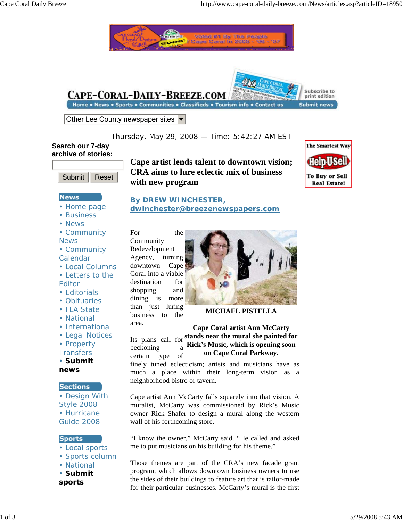



#### **News**

- Home page
- Business
- News
- Community News
- Community Calendar
- Local Columns
- Letters to the
- Editor
- Editorials
- Obituaries
- FLA State
- National
- International
- Legal Notices
- Property
- **Transfers**
- **Submit news**

## **Sections**

• Design With Style 2008 • Hurricane Guide 2008

#### **Sports**

- Local sports
- Sports column
- National
- **Submit**
- **sports**

**Cape artist lends talent to downtown vision; CRA aims to lure eclectic mix of business with new program**



# **By DREW WINCHESTER, dwinchester@breezenewspapers.com**

For the Community Redevelopment Agency, turning downtown Cape Coral into a viable destination for shopping and dining is more than just luring business to the area.



**MICHAEL PISTELLA**

**Cape Coral artist Ann McCarty**

Its plans call for **stands near the mural she painted for Rick's Music, which is opening soon on Cape Coral Parkway.** beckoning a certain type of

finely tuned eclecticism; artists and musicians have as much a place within their long-term vision as a neighborhood bistro or tavern.

Cape artist Ann McCarty falls squarely into that vision. A muralist, McCarty was commissioned by Rick's Music owner Rick Shafer to design a mural along the western wall of his forthcoming store.

"I know the owner," McCarty said. "He called and asked me to put musicians on his building for his theme."

Those themes are part of the CRA's new facade grant program, which allows downtown business owners to use the sides of their buildings to feature art that is tailor-made for their particular businesses. McCarty's mural is the first